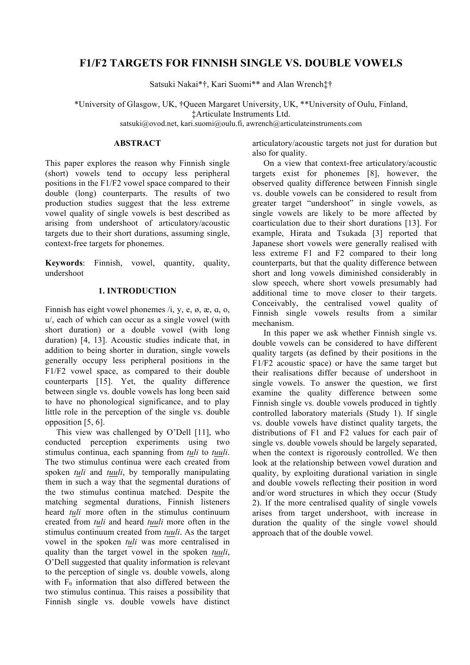# **F1/F2 TARGETS FOR FINNISH SINGLE VS. DOUBLE VOWELS**

Satsuki Nakai\*†, Kari Suomi\*\* and Alan Wrench‡†

\*University of Glasgow, UK, †Queen Margaret University, UK, \*\*University of Oulu, Finland, ‡Articulate Instruments Ltd.

satsuki@ovod.net, kari.suomi@oulu.fi, awrench@articulateinstruments.com

# **ABSTRACT**

This paper explores the reason why Finnish single (short) vowels tend to occupy less peripheral positions in the F1/F2 vowel space compared to their double (long) counterparts. The results of two production studies suggest that the less extreme vowel quality of single vowels is best described as arising from undershoot of articulatory/acoustic targets due to their short durations, assuming single, context-free targets for phonemes.

**Keywords**: Finnish, vowel, quantity, quality, undershoot

## **1. INTRODUCTION**

Finnish has eight vowel phonemes /i, y, e, ø, æ, ɑ, o, u/, each of which can occur as a single vowel (with short duration) or a double vowel (with long duration) [4, 13]. Acoustic studies indicate that, in addition to being shorter in duration, single vowels generally occupy less peripheral positions in the F1/F2 vowel space, as compared to their double counterparts [15]. Yet, the quality difference between single vs. double vowels has long been said to have no phonological significance, and to play little role in the perception of the single vs. double opposition [5, 6].

This view was challenged by O'Dell [11], who conducted perception experiments using two stimulus continua, each spanning from *tuli* to *tuuli*. The two stimulus continua were each created from spoken *tuli* and *tuuli*, by temporally manipulating them in such a way that the segmental durations of the two stimulus continua matched. Despite the matching segmental durations, Finnish listeners heard *tuli* more often in the stimulus continuum created from *tuli* and heard *tuuli* more often in the stimulus continuum created from *tuuli*. As the target vowel in the spoken *tuli* was more centralised in quality than the target vowel in the spoken *tuuli*, O'Dell suggested that quality information is relevant to the perception of single vs. double vowels, along with  $F_0$  information that also differed between the two stimulus continua. This raises a possibility that Finnish single vs. double vowels have distinct articulatory/acoustic targets not just for duration but also for quality.

On a view that context-free articulatory/acoustic targets exist for phonemes [8], however, the observed quality difference between Finnish single vs. double vowels can be considered to result from greater target "undershoot" in single vowels, as single vowels are likely to be more affected by coarticulation due to their short durations [13]. For example, Hirata and Tsukada [3] reported that Japanese short vowels were generally realised with less extreme F1 and F2 compared to their long counterparts, but that the quality difference between short and long vowels diminished considerably in slow speech, where short vowels presumably had additional time to move closer to their targets. Conceivably, the centralised vowel quality of Finnish single vowels results from a similar mechanism.

In this paper we ask whether Finnish single vs. double vowels can be considered to have different quality targets (as defined by their positions in the F1/F2 acoustic space) or have the same target but their realisations differ because of undershoot in single vowels. To answer the question, we first examine the quality difference between some Finnish single vs. double vowels produced in tightly controlled laboratory materials (Study 1). If single vs. double vowels have distinct quality targets, the distributions of F1 and F2 values for each pair of single vs. double vowels should be largely separated, when the context is rigorously controlled. We then look at the relationship between vowel duration and quality, by exploiting durational variation in single and double vowels reflecting their position in word and/or word structures in which they occur (Study 2). If the more centralised quality of single vowels arises from target undershoot, with increase in duration the quality of the single vowel should approach that of the double vowel.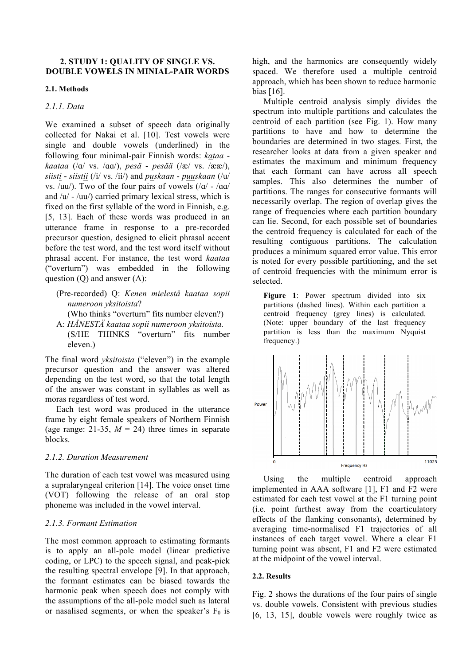## **2. STUDY 1: QUALITY OF SINGLE VS. DOUBLE VOWELS IN MINIAL-PAIR WORDS**

#### **2.1. Methods**

#### *2.1.1. Data*

We examined a subset of speech data originally collected for Nakai et al. [10]. Test vowels were single and double vowels (underlined) in the following four minimal-pair Finnish words: *kataa kaataa* (/ɑ/ vs. /ɑɑ/), *pesä* - *pesää* (/æ/ vs. /ææ/), *siisti* - *siistii* (/i/ vs. /ii/) and *puskaan* - *puuskaan* (/u/ vs. /uu/). Two of the four pairs of vowels  $(|q| - |qa|)$ and  $/u'$  -  $/uu/$ ) carried primary lexical stress, which is fixed on the first syllable of the word in Finnish, e.g. [5, 13]. Each of these words was produced in an utterance frame in response to a pre-recorded precursor question, designed to elicit phrasal accent before the test word, and the test word itself without phrasal accent. For instance, the test word *kaataa* ("overturn") was embedded in the following question  $(Q)$  and answer  $(A)$ :

- (Pre-recorded) Q: *Kenen mielestä kaataa sopii numeroon yksitoista*? (Who thinks "overturn" fits number eleven?)
- A: *HÄNESTÄ kaataa sopii numeroon yksitoista.* (S/HE THINKS "overturn" fits number eleven.)

The final word *yksitoista* ("eleven") in the example precursor question and the answer was altered depending on the test word, so that the total length of the answer was constant in syllables as well as moras regardless of test word.

Each test word was produced in the utterance frame by eight female speakers of Northern Finnish (age range: 21-35,  $M = 24$ ) three times in separate blocks.

## *2.1.2. Duration Measurement*

The duration of each test vowel was measured using a supralaryngeal criterion [14]. The voice onset time (VOT) following the release of an oral stop phoneme was included in the vowel interval.

## *2.1.3. Formant Estimation*

The most common approach to estimating formants is to apply an all-pole model (linear predictive coding, or LPC) to the speech signal, and peak-pick the resulting spectral envelope [9]. In that approach, the formant estimates can be biased towards the harmonic peak when speech does not comply with the assumptions of the all-pole model such as lateral or nasalised segments, or when the speaker's  $F_0$  is

high, and the harmonics are consequently widely spaced. We therefore used a multiple centroid approach, which has been shown to reduce harmonic bias [16].

Multiple centroid analysis simply divides the spectrum into multiple partitions and calculates the centroid of each partition (see Fig. 1). How many partitions to have and how to determine the boundaries are determined in two stages. First, the researcher looks at data from a given speaker and estimates the maximum and minimum frequency that each formant can have across all speech samples. This also determines the number of partitions. The ranges for consecutive formants will necessarily overlap. The region of overlap gives the range of frequencies where each partition boundary can lie. Second, for each possible set of boundaries the centroid frequency is calculated for each of the resulting contiguous partitions. The calculation produces a minimum squared error value. This error is noted for every possible partitioning, and the set of centroid frequencies with the minimum error is selected.

Figure 1: Power spectrum divided into six partitions (dashed lines). Within each partition a centroid frequency (grey lines) is calculated. (Note: upper boundary of the last frequency partition is less than the maximum Nyquist frequency.)



Using the multiple centroid approach implemented in AAA software [1], F1 and F2 were estimated for each test vowel at the F1 turning point (i.e. point furthest away from the coarticulatory effects of the flanking consonants), determined by averaging time-normalised F1 trajectories of all instances of each target vowel. Where a clear F1 turning point was absent, F1 and F2 were estimated at the midpoint of the vowel interval.

#### **2.2. Results**

Fig. 2 shows the durations of the four pairs of single vs. double vowels. Consistent with previous studies [6, 13, 15], double vowels were roughly twice as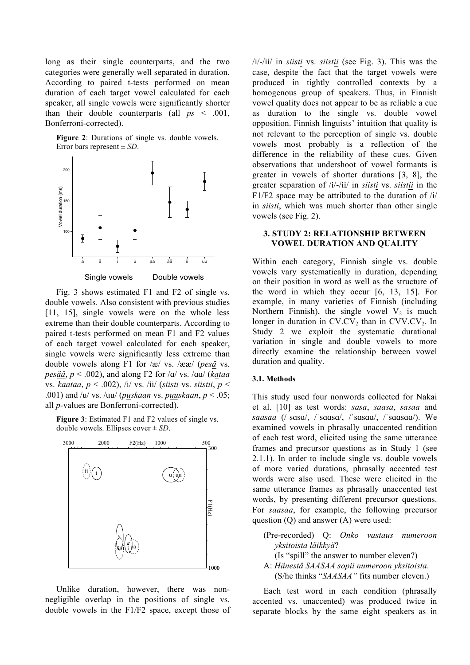long as their single counterparts, and the two categories were generally well separated in duration. According to paired t-tests performed on mean duration of each target vowel calculated for each speaker, all single vowels were significantly shorter than their double counterparts (all  $ps < .001$ , Bonferroni-corrected).

**Figure 2**: Durations of single vs. double vowels. Error bars represent ± *SD*.



Fig. 3 shows estimated F1 and F2 of single vs. double vowels. Also consistent with previous studies [11, 15], single vowels were on the whole less extreme than their double counterparts. According to paired t-tests performed on mean F1 and F2 values of each target vowel calculated for each speaker, single vowels were significantly less extreme than double vowels along F1 for /æ/ vs. /ææ/ (*pesä* vs. *pesää*, *p* < .002), and along F2 for /ɑ/ vs. /ɑɑ/ (*kataa*  vs. *kaataa*, *p* < .002), /i/ vs. /ii/ (*siisti* vs. *siistii*, *p* < .001) and /u/ vs. /uu/ (*puskaan* vs. *puuskaan*, *p* < .05; all *p-*values are Bonferroni-corrected).

**Figure 3**: Estimated F1 and F2 values of single vs. double vowels. Ellipses cover ± *SD*.



Unlike duration, however, there was nonnegligible overlap in the positions of single vs. double vowels in the F1/F2 space, except those of /i/-/ii/ in *siisti* vs. *siistii* (see Fig. 3). This was the case, despite the fact that the target vowels were produced in tightly controlled contexts by a homogenous group of speakers. Thus, in Finnish vowel quality does not appear to be as reliable a cue as duration to the single vs. double vowel opposition. Finnish linguists' intuition that quality is not relevant to the perception of single vs. double vowels most probably is a reflection of the difference in the reliability of these cues. Given observations that undershoot of vowel formants is greater in vowels of shorter durations [3, 8], the greater separation of /i/-/ii/ in *siisti* vs. *siistii* in the F1/F2 space may be attributed to the duration of  $/i/$ in *siisti*, which was much shorter than other single vowels (see Fig. 2).

## **3. STUDY 2: RELATIONSHIP BETWEEN VOWEL DURATION AND QUALITY**

Within each category, Finnish single vs. double vowels vary systematically in duration, depending on their position in word as well as the structure of the word in which they occur [6, 13, 15]. For example, in many varieties of Finnish (including Northern Finnish), the single vowel  $V_2$  is much longer in duration in  $CV.CV<sub>2</sub>$  than in  $CVV.CV<sub>2</sub>$ . In Study 2 we exploit the systematic durational variation in single and double vowels to more directly examine the relationship between vowel duration and quality.

## **3.1. Methods**

This study used four nonwords collected for Nakai et al. [10] as test words: *sasa*, *saasa*, *sasaa* and *saasaa* (/ˈsɑsɑ/, /ˈsɑɑsɑ/, /ˈsɑsɑɑ/, /ˈsɑɑsɑɑ/). We examined vowels in phrasally unaccented rendition of each test word, elicited using the same utterance frames and precursor questions as in Study 1 (see 2.1.1). In order to include single vs. double vowels of more varied durations, phrasally accented test words were also used. These were elicited in the same utterance frames as phrasally unaccented test words, by presenting different precursor questions. For *saasaa*, for example, the following precursor question (Q) and answer (A) were used:

(Pre-recorded) Q: *Onko vastaus numeroon yksitoista läikkyä*? (Is "spill" the answer to number eleven?) A: *Hänestä SAASAA sopii numeroon yksitoista*.

(S/he thinks "*SAASAA"* fits number eleven.)

Each test word in each condition (phrasally accented vs. unaccented) was produced twice in separate blocks by the same eight speakers as in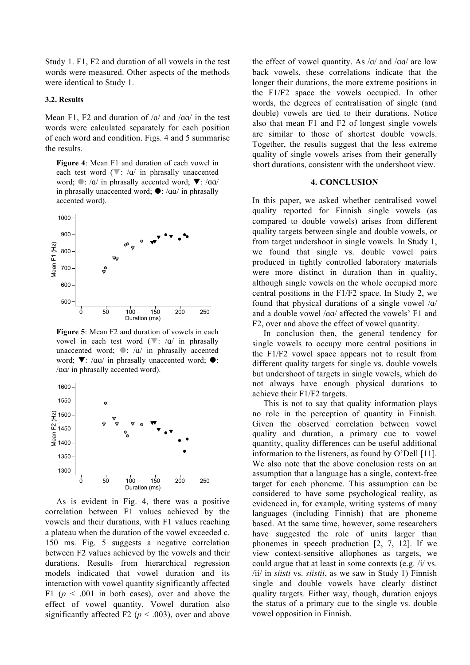Study 1. F1, F2 and duration of all vowels in the test words were measured. Other aspects of the methods were identical to Study 1.

# **3.2. Results**

Mean F1, F2 and duration of  $\alpha$  and  $\alpha$  /a $\alpha$  in the test words were calculated separately for each position of each word and condition. Figs. 4 and 5 summarise the results.

**Figure 4**: Mean F1 and duration of each vowel in each test word  $(\nabla: /a /$  in phrasally unaccented word;  $\bullet$ : /ɑ/ in phrasally accented word;  $\nabla$ : /ɑɑ/ in phrasally unaccented word;  $\bullet$ : / $\alpha\alpha$ / in phrasally accented word).



**Figure 5**: Mean F2 and duration of vowels in each vowel in each test word  $(\nabla: /a /$  in phrasally unaccented word;  $\bullet$ : /a/ in phrasally accented word;  $\nabla$ : /aa/ in phrasally unaccented word;  $\odot$ : /ɑɑ/ in phrasally accented word).



As is evident in Fig. 4, there was a positive correlation between F1 values achieved by the vowels and their durations, with F1 values reaching a plateau when the duration of the vowel exceeded c. 150 ms. Fig. 5 suggests a negative correlation between F2 values achieved by the vowels and their durations. Results from hierarchical regression models indicated that vowel duration and its interaction with vowel quantity significantly affected F1 ( $p \le 0.001$  in both cases), over and above the effect of vowel quantity. Vowel duration also significantly affected F2 ( $p < .003$ ), over and above

the effect of vowel quantity. As  $\alpha$  and  $\alpha$  are low back vowels, these correlations indicate that the longer their durations, the more extreme positions in the F1/F2 space the vowels occupied. In other words, the degrees of centralisation of single (and double) vowels are tied to their durations. Notice also that mean F1 and F2 of longest single vowels are similar to those of shortest double vowels. Together, the results suggest that the less extreme quality of single vowels arises from their generally short durations, consistent with the undershoot view.

#### **4. CONCLUSION**

In this paper, we asked whether centralised vowel quality reported for Finnish single vowels (as compared to double vowels) arises from different quality targets between single and double vowels, or from target undershoot in single vowels. In Study 1, we found that single vs. double vowel pairs produced in tightly controlled laboratory materials were more distinct in duration than in quality, although single vowels on the whole occupied more central positions in the F1/F2 space. In Study 2, we found that physical durations of a single vowel /ɑ/ and a double vowel /ɑɑ/ affected the vowels' F1 and F2, over and above the effect of vowel quantity.

In conclusion then, the general tendency for single vowels to occupy more central positions in the F1/F2 vowel space appears not to result from different quality targets for single vs. double vowels but undershoot of targets in single vowels, which do not always have enough physical durations to achieve their F1/F2 targets.

This is not to say that quality information plays no role in the perception of quantity in Finnish. Given the observed correlation between vowel quality and duration, a primary cue to vowel quantity, quality differences can be useful additional information to the listeners, as found by O'Dell [11]. We also note that the above conclusion rests on an assumption that a language has a single, context-free target for each phoneme. This assumption can be considered to have some psychological reality, as evidenced in, for example, writing systems of many languages (including Finnish) that are phoneme based. At the same time, however, some researchers have suggested the role of units larger than phonemes in speech production [2, 7, 12]. If we view context-sensitive allophones as targets, we could argue that at least in some contexts (e.g. /i/ vs. /ii/ in *siisti* vs. *siistii*, as we saw in Study 1) Finnish single and double vowels have clearly distinct quality targets. Either way, though, duration enjoys the status of a primary cue to the single vs. double vowel opposition in Finnish.